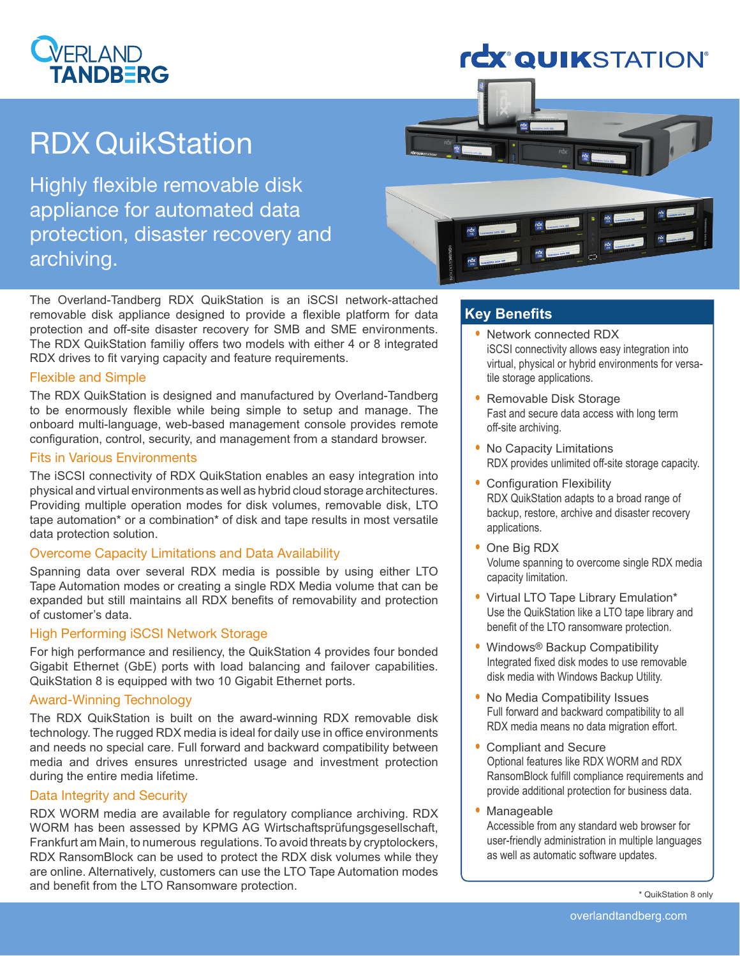### **VERLAND ANDRERG**

## **rcx QUIKSTATION**®

# RDX QuikStation

Highly flexible removable disk appliance for automated data protection, disaster recovery and archiving.



The Overland-Tandberg RDX QuikStation is an iSCSI network-attached removable disk appliance designed to provide a flexible platform for data protection and off-site disaster recovery for SMB and SME environments. The RDX QuikStation familiy offers two models with either 4 or 8 integrated RDX drives to fit varying capacity and feature requirements.

#### Flexible and Simple

The RDX QuikStation is designed and manufactured by Overland-Tandberg to be enormously flexible while being simple to setup and manage. The onboard multi-language, web-based management console provides remote configuration, control, security, and management from a standard browser.

#### Fits in Various Environments

The iSCSI connectivity of RDX QuikStation enables an easy integration into physical and virtual environments as well as hybrid cloud storage architectures. Providing multiple operation modes for disk volumes, removable disk, LTO tape automation\* or a combination\* of disk and tape results in most versatile data protection solution.

#### Overcome Capacity Limitations and Data Availability

Spanning data over several RDX media is possible by using either LTO Tape Automation modes or creating a single RDX Media volume that can be expanded but still maintains all RDX benefits of removability and protection of customer's data.

#### High Performing iSCSI Network Storage

For high performance and resiliency, the QuikStation 4 provides four bonded Gigabit Ethernet (GbE) ports with load balancing and failover capabilities. QuikStation 8 is equipped with two 10 Gigabit Ethernet ports.

#### Award-Winning Technology

The RDX QuikStation is built on the award-winning RDX removable disk technology. The rugged RDX media is ideal for daily use in office environments and needs no special care. Full forward and backward compatibility between media and drives ensures unrestricted usage and investment protection during the entire media lifetime.

#### Data Integrity and Security

RDX WORM media are available for regulatory compliance archiving. RDX WORM has been assessed by KPMG AG Wirtschaftsprüfungsgesellschaft, Frankfurt am Main, to numerous regulations. To avoid threats by cryptolockers, RDX RansomBlock can be used to protect the RDX disk volumes while they are online. Alternatively, customers can use the LTO Tape Automation modes and benefit from the LTO Ransomware protection.

#### **Key Benefits**

- Network connected RDX iSCSI connectivity allows easy integration into virtual, physical or hybrid environments for versatile storage applications.
- Removable Disk Storage Fast and secure data access with long term off-site archiving.
- No Capacity Limitations RDX provides unlimited off-site storage capacity.
- Configuration Flexibility RDX QuikStation adapts to a broad range of backup, restore, archive and disaster recovery applications.
- One Big RDX Volume spanning to overcome single RDX media capacity limitation.
- Virtual LTO Tape Library Emulation\* Use the QuikStation like a LTO tape library and benefit of the LTO ransomware protection.
- Windows® Backup Compatibility Integrated fixed disk modes to use removable disk media with Windows Backup Utility.
- No Media Compatibility Issues Full forward and backward compatibility to all RDX media means no data migration effort.
- Compliant and Secure Optional features like RDX WORM and RDX RansomBlock fulfill compliance requirements and provide additional protection for business data.
- Manageable Accessible from any standard web browser for user-friendly administration in multiple languages as well as automatic software updates.